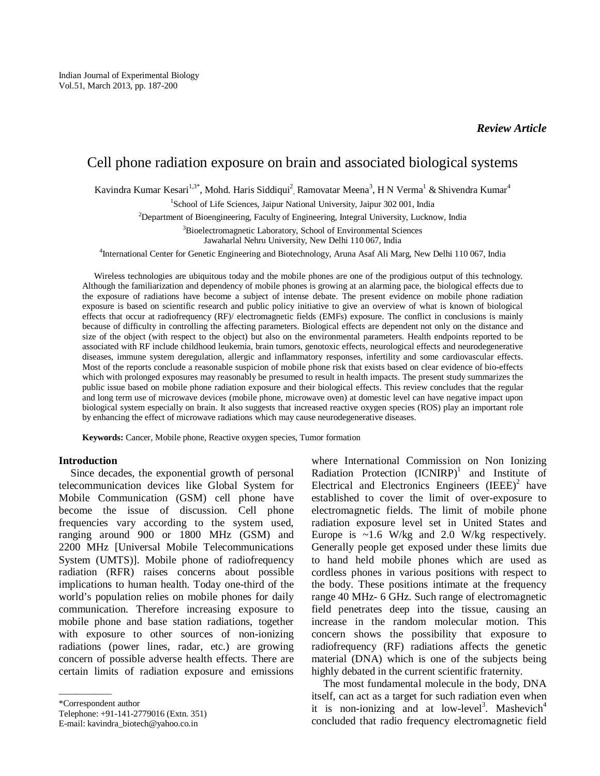# Cell phone radiation exposure on brain and associated biological systems

Kavindra Kumar Kesari<sup>1,3\*</sup>, Mohd. Haris Siddiqui<sup>2</sup>, Ramovatar Meena<sup>3</sup>, H N Verma<sup>1</sup> & Shivendra Kumar<sup>4</sup>

<sup>1</sup>School of Life Sciences, Jaipur National University, Jaipur 302 001, India

<sup>2</sup>Department of Bioengineering, Faculty of Engineering, Integral University, Lucknow, India

<sup>3</sup>Bioelectromagnetic Laboratory, School of Environmental Sciences

Jawaharlal Nehru University, New Delhi 110 067, India

4 International Center for Genetic Engineering and Biotechnology, Aruna Asaf Ali Marg, New Delhi 110 067, India

Wireless technologies are ubiquitous today and the mobile phones are one of the prodigious output of this technology. Although the familiarization and dependency of mobile phones is growing at an alarming pace, the biological effects due to the exposure of radiations have become a subject of intense debate. The present evidence on mobile phone radiation exposure is based on scientific research and public policy initiative to give an overview of what is known of biological effects that occur at radiofrequency (RF)/ electromagnetic fields (EMFs) exposure. The conflict in conclusions is mainly because of difficulty in controlling the affecting parameters. Biological effects are dependent not only on the distance and size of the object (with respect to the object) but also on the environmental parameters. Health endpoints reported to be associated with RF include childhood leukemia, brain tumors, genotoxic effects, neurological effects and neurodegenerative diseases, immune system deregulation, allergic and inflammatory responses, infertility and some cardiovascular effects. Most of the reports conclude a reasonable suspicion of mobile phone risk that exists based on clear evidence of bio-effects which with prolonged exposures may reasonably be presumed to result in health impacts. The present study summarizes the public issue based on mobile phone radiation exposure and their biological effects. This review concludes that the regular and long term use of microwave devices (mobile phone, microwave oven) at domestic level can have negative impact upon biological system especially on brain. It also suggests that increased reactive oxygen species (ROS) play an important role by enhancing the effect of microwave radiations which may cause neurodegenerative diseases.

**Keywords:** Cancer, Mobile phone, Reactive oxygen species, Tumor formation

## **Introduction**

Since decades, the exponential growth of personal telecommunication devices like Global System for Mobile Communication (GSM) cell phone have become the issue of discussion. Cell phone frequencies vary according to the system used, ranging around 900 or 1800 MHz (GSM) and 2200 MHz [Universal Mobile Telecommunications System (UMTS)]. Mobile phone of radiofrequency radiation (RFR) raises concerns about possible implications to human health. Today one-third of the world's population relies on mobile phones for daily communication. Therefore increasing exposure to mobile phone and base station radiations, together with exposure to other sources of non-ionizing radiations (power lines, radar, etc.) are growing concern of possible adverse health effects. There are certain limits of radiation exposure and emissions

——————

Telephone: +91-141-2779016 (Extn. 351)

E-mail: kavindra\_biotech@yahoo.co.in

where International Commission on Non Ionizing Radiation Protection  $(ICNIRP)^1$  and Institute of Electrical and Electronics Engineers  $(IEEE)^2$  have established to cover the limit of over-exposure to electromagnetic fields. The limit of mobile phone radiation exposure level set in United States and Europe is  $\sim$ 1.6 W/kg and 2.0 W/kg respectively. Generally people get exposed under these limits due to hand held mobile phones which are used as cordless phones in various positions with respect to the body. These positions intimate at the frequency range 40 MHz- 6 GHz. Such range of electromagnetic field penetrates deep into the tissue, causing an increase in the random molecular motion. This concern shows the possibility that exposure to radiofrequency (RF) radiations affects the genetic material (DNA) which is one of the subjects being highly debated in the current scientific fraternity.

The most fundamental molecule in the body, DNA itself, can act as a target for such radiation even when it is non-ionizing and at low-level<sup>3</sup>. Mashevich<sup>4</sup> concluded that radio frequency electromagnetic field

<sup>\*</sup>Correspondent author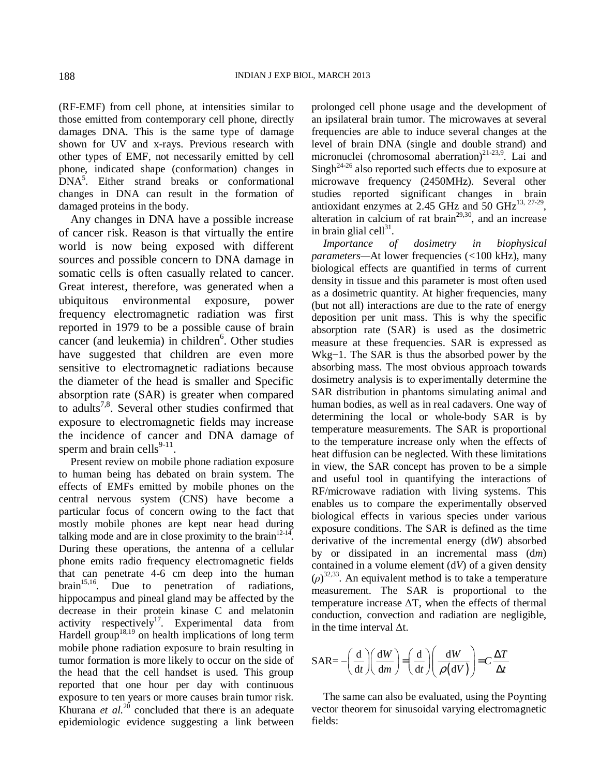(RF-EMF) from cell phone, at intensities similar to those emitted from contemporary cell phone, directly damages DNA. This is the same type of damage shown for UV and x-rays. Previous research with other types of EMF, not necessarily emitted by cell phone, indicated shape (conformation) changes in DNA<sup>5</sup> . Either strand breaks or conformational changes in DNA can result in the formation of damaged proteins in the body.

Any changes in DNA have a possible increase of cancer risk. Reason is that virtually the entire world is now being exposed with different sources and possible concern to DNA damage in somatic cells is often casually related to cancer. Great interest, therefore, was generated when a ubiquitous environmental exposure, power frequency electromagnetic radiation was first reported in 1979 to be a possible cause of brain cancer (and leukemia) in children<sup>6</sup>. Other studies have suggested that children are even more sensitive to electromagnetic radiations because the diameter of the head is smaller and Specific absorption rate (SAR) is greater when compared to adults<sup>7,8</sup>. Several other studies confirmed that exposure to electromagnetic fields may increase the incidence of cancer and DNA damage of sperm and brain cells<sup>9-11</sup>.

Present review on mobile phone radiation exposure to human being has debated on brain system. The effects of EMFs emitted by mobile phones on the central nervous system (CNS) have become a particular focus of concern owing to the fact that mostly mobile phones are kept near head during talking mode and are in close proximity to the brain  $12-14$ . During these operations, the antenna of a cellular phone emits radio frequency electromagnetic fields that can penetrate 4-6 cm deep into the human brain $15,16$ . Due to penetration of radiations, hippocampus and pineal gland may be affected by the decrease in their protein kinase C and melatonin activity respectively<sup>17</sup>. Experimental data from Hardell group<sup>18,19</sup> on health implications of long term mobile phone radiation exposure to brain resulting in tumor formation is more likely to occur on the side of the head that the cell handset is used. This group reported that one hour per day with continuous exposure to ten years or more causes brain tumor risk. Khurana *et al.*<sup>20</sup> concluded that there is an adequate epidemiologic evidence suggesting a link between

prolonged cell phone usage and the development of an ipsilateral brain tumor. The microwaves at several frequencies are able to induce several changes at the level of brain DNA (single and double strand) and micronuclei (chromosomal aberration) $2^{1-23,9}$ . Lai and  $\text{Sing}h^{24-26}$  also reported such effects due to exposure at microwave frequency (2450MHz). Several other studies reported significant changes in brain antioxidant enzymes at 2.45 GHz and 50 GHz $^{13, 27-29}$ , alteration in calcium of rat brain<sup> $29,30$ </sup>, and an increase in brain glial cell $31$ .

*Importance of dosimetry in biophysical parameters—*At lower frequencies (*<*100 kHz), many biological effects are quantified in terms of current density in tissue and this parameter is most often used as a dosimetric quantity. At higher frequencies, many (but not all) interactions are due to the rate of energy deposition per unit mass. This is why the specific absorption rate (SAR) is used as the dosimetric measure at these frequencies. SAR is expressed as Wkg−1. The SAR is thus the absorbed power by the absorbing mass. The most obvious approach towards dosimetry analysis is to experimentally determine the SAR distribution in phantoms simulating animal and human bodies, as well as in real cadavers. One way of determining the local or whole-body SAR is by temperature measurements. The SAR is proportional to the temperature increase only when the effects of heat diffusion can be neglected. With these limitations in view, the SAR concept has proven to be a simple and useful tool in quantifying the interactions of RF/microwave radiation with living systems. This enables us to compare the experimentally observed biological effects in various species under various exposure conditions. The SAR is defined as the time derivative of the incremental energy (d*W*) absorbed by or dissipated in an incremental mass (d*m*) contained in a volume element (d*V*) of a given density (*ρ*) 32,33. An equivalent method is to take a temperature measurement. The SAR is proportional to the temperature increase ∆T, when the effects of thermal conduction, convection and radiation are negligible, in the time interval ∆t.

$$
SAR = -\left(\frac{d}{dt}\right)\left(\frac{dW}{dm}\right) = \left(\frac{d}{dt}\right)\left(\frac{dW}{(dV)}\right) = C\frac{\Delta T}{\Delta t}
$$

The same can also be evaluated, using the Poynting vector theorem for sinusoidal varying electromagnetic fields: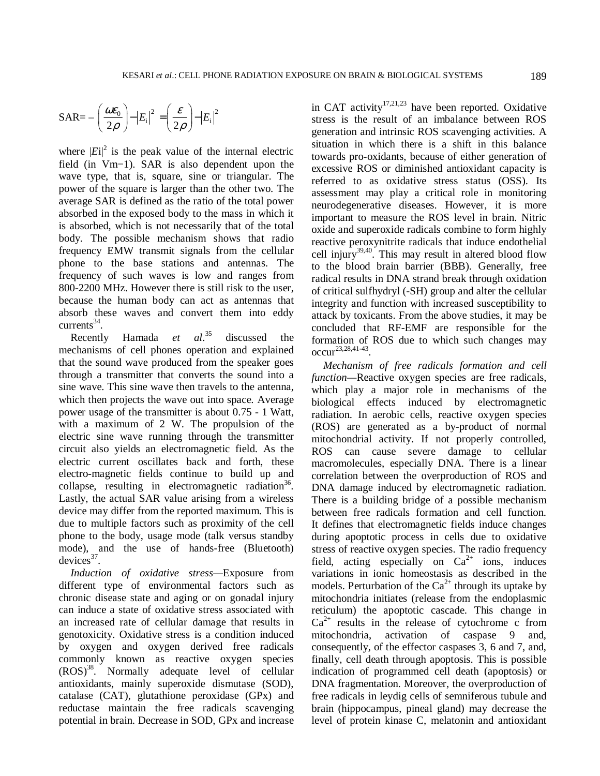$$
SAR = -\left(\frac{\sigma}{2}\right) - |E_i|^2 = \left(\frac{\sigma}{2}\right) - |E_i|^2
$$

where  $|E_i|^2$  is the peak value of the internal electric field (in Vm−1). SAR is also dependent upon the wave type, that is, square, sine or triangular. The power of the square is larger than the other two. The average SAR is defined as the ratio of the total power absorbed in the exposed body to the mass in which it is absorbed, which is not necessarily that of the total body. The possible mechanism shows that radio frequency EMW transmit signals from the cellular phone to the base stations and antennas. The frequency of such waves is low and ranges from 800-2200 MHz. However there is still risk to the user, because the human body can act as antennas that absorb these waves and convert them into eddy  $\text{currents}^{34}$ .

Recently Hamada *et al*. discussed the mechanisms of cell phones operation and explained that the sound wave produced from the speaker goes through a transmitter that converts the sound into a sine wave. This sine wave then travels to the antenna, which then projects the wave out into space. Average power usage of the transmitter is about 0.75 - 1 Watt, with a maximum of 2 W. The propulsion of the electric sine wave running through the transmitter circuit also yields an electromagnetic field. As the electric current oscillates back and forth, these electro-magnetic fields continue to build up and collapse, resulting in electromagnetic radiation<sup>36</sup>. Lastly, the actual SAR value arising from a wireless device may differ from the reported maximum. This is due to multiple factors such as proximity of the cell phone to the body, usage mode (talk versus standby mode), and the use of hands-free (Bluetooth)  $devices^{37}$ .

*Induction of oxidative stress—*Exposure from different type of environmental factors such as chronic disease state and aging or on gonadal injury can induce a state of oxidative stress associated with an increased rate of cellular damage that results in genotoxicity. Oxidative stress is a condition induced by oxygen and oxygen derived free radicals commonly known as reactive oxygen species  $(ROS)^{38}$ . Normally adequate level of cellular antioxidants, mainly superoxide dismutase (SOD), catalase (CAT), glutathione peroxidase (GPx) and reductase maintain the free radicals scavenging potential in brain. Decrease in SOD, GPx and increase in CAT activity<sup>17,21,23</sup> have been reported. Oxidative stress is the result of an imbalance between ROS generation and intrinsic ROS scavenging activities. A situation in which there is a shift in this balance towards pro-oxidants, because of either generation of excessive ROS or diminished antioxidant capacity is referred to as oxidative stress status (OSS). Its assessment may play a critical role in monitoring neurodegenerative diseases. However, it is more important to measure the ROS level in brain. Nitric oxide and superoxide radicals combine to form highly reactive peroxynitrite radicals that induce endothelial cell injury<sup>39,40</sup>. This may result in altered blood flow to the blood brain barrier (BBB). Generally, free radical results in DNA strand break through oxidation of critical sulfhydryl (-SH) group and alter the cellular integrity and function with increased susceptibility to attack by toxicants. From the above studies, it may be concluded that RF-EMF are responsible for the formation of ROS due to which such changes may  $occur^{23,28,41-43}.$ 

*Mechanism of free radicals formation and cell function—*Reactive oxygen species are free radicals, which play a major role in mechanisms of the biological effects induced by electromagnetic radiation. In aerobic cells, reactive oxygen species (ROS) are generated as a by-product of normal mitochondrial activity. If not properly controlled, ROS can cause severe damage to cellular macromolecules, especially DNA. There is a linear correlation between the overproduction of ROS and DNA damage induced by electromagnetic radiation. There is a building bridge of a possible mechanism between free radicals formation and cell function. It defines that electromagnetic fields induce changes during apoptotic process in cells due to oxidative stress of reactive oxygen species. The radio frequency field, acting especially on  $Ca^{2+}$  ions, induces variations in ionic homeostasis as described in the models. Perturbation of the  $Ca^{2+}$  through its uptake by mitochondria initiates (release from the endoplasmic reticulum) the apoptotic cascade. This change in  $Ca^{2+}$  results in the release of cytochrome c from mitochondria, activation of caspase 9 and, consequently, of the effector caspases 3, 6 and 7, and, finally, cell death through apoptosis. This is possible indication of programmed cell death (apoptosis) or DNA fragmentation. Moreover, the overproduction of free radicals in leydig cells of semniferous tubule and brain (hippocampus, pineal gland) may decrease the level of protein kinase C, melatonin and antioxidant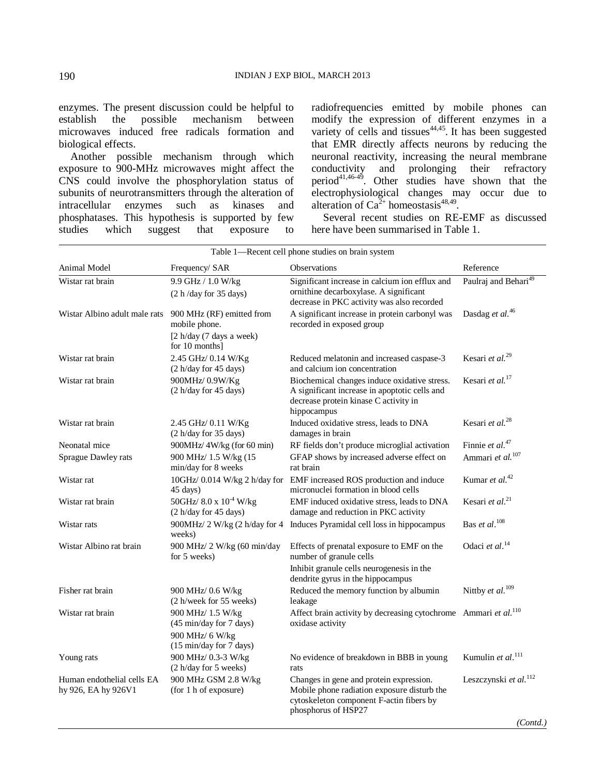enzymes. The present discussion could be helpful to establish the possible mechanism between establish the possible mechanism between microwaves induced free radicals formation and biological effects.

Another possible mechanism through which exposure to 900-MHz microwaves might affect the CNS could involve the phosphorylation status of subunits of neurotransmitters through the alteration of<br>intracellular enzymes such as kinases and intracellular enzymes such as kinases and phosphatases. This hypothesis is supported by few<br>studies which suggest that exposure to suggest that exposure to

radiofrequencies emitted by mobile phones can modify the expression of different enzymes in a variety of cells and tissues $44,45$ . It has been suggested that EMR directly affects neurons by reducing the neuronal reactivity, increasing the neural membrane<br>conductivity and prolonging their refractory and prolonging their refractory period<sup>41,46-49</sup>. Other studies have shown that the electrophysiological changes may occur due to alteration of  $Ca^{2+}$  homeostasis<sup>48,49</sup>.

Several recent studies on RE-EMF as discussed here have been summarised in Table 1.

| Table 1-Recent cell phone studies on brain system |                                                                     |                                                                                                                                                           |                                   |  |
|---------------------------------------------------|---------------------------------------------------------------------|-----------------------------------------------------------------------------------------------------------------------------------------------------------|-----------------------------------|--|
| Animal Model                                      | Frequency/ SAR                                                      | <b>Observations</b>                                                                                                                                       | Reference                         |  |
| Wistar rat brain                                  | 9.9 GHz / 1.0 W/kg<br>(2 h/day for 35 days)                         | Significant increase in calcium ion efflux and<br>ornithine decarboxylase. A significant<br>decrease in PKC activity was also recorded                    | Paulraj and Behari <sup>49</sup>  |  |
| Wistar Albino adult male rats                     | 900 MHz (RF) emitted from<br>mobile phone.                          | A significant increase in protein carbonyl was<br>recorded in exposed group                                                                               | Dasdag et al. <sup>46</sup>       |  |
|                                                   | [2 h/day (7 days a week)]<br>for 10 months]                         |                                                                                                                                                           |                                   |  |
| Wistar rat brain                                  | 2.45 GHz/ 0.14 W/Kg<br>(2 h/day for 45 days)                        | Reduced melatonin and increased caspase-3<br>and calcium ion concentration                                                                                | Kesari et al. <sup>29</sup>       |  |
| Wistar rat brain                                  | 900MHz/0.9W/Kg<br>(2 h/day for 45 days)                             | Biochemical changes induce oxidative stress.<br>A significant increase in apoptotic cells and<br>decrease protein kinase C activity in<br>hippocampus     | Kesari et al. $17$                |  |
| Wistar rat brain                                  | 2.45 GHz/ 0.11 W/Kg<br>(2 h/day for 35 days)                        | Induced oxidative stress, leads to DNA<br>damages in brain                                                                                                | Kesari et al. <sup>28</sup>       |  |
| Neonatal mice                                     | 900MHz/4W/kg (for 60 min)                                           | RF fields don't produce microglial activation                                                                                                             | Finnie et al. <sup>47</sup>       |  |
| Sprague Dawley rats                               | 900 MHz/ 1.5 W/kg (15<br>min/day for 8 weeks                        | GFAP shows by increased adverse effect on<br>rat brain                                                                                                    | Ammari et al. <sup>107</sup>      |  |
| Wistar rat                                        | $10$ GHz/ 0.014 W/kg 2 h/day for<br>45 days)                        | EMF increased ROS production and induce<br>micronuclei formation in blood cells                                                                           | Kumar et al. <sup>42</sup>        |  |
| Wistar rat brain                                  | $50\mathrm{GHz}/\ 8.0$ x $10^{^{-4}}$ W/kg<br>(2 h/day for 45 days) | EMF induced oxidative stress, leads to DNA<br>damage and reduction in PKC activity                                                                        | Kesari et al. <sup>21</sup>       |  |
| Wistar rats                                       | 900MHz/2 W/kg (2 h/day for 4<br>weeks)                              | Induces Pyramidal cell loss in hippocampus                                                                                                                | Bas et al. <sup>108</sup>         |  |
| Wistar Albino rat brain                           | 900 MHz/ 2 W/kg (60 min/day<br>for 5 weeks)                         | Effects of prenatal exposure to EMF on the<br>number of granule cells                                                                                     | Odaci et al. <sup>14</sup>        |  |
|                                                   |                                                                     | Inhibit granule cells neurogenesis in the<br>dendrite gyrus in the hippocampus                                                                            |                                   |  |
| Fisher rat brain                                  | 900 MHz/ 0.6 W/kg<br>(2 h/week for 55 weeks)                        | Reduced the memory function by albumin<br>leakage                                                                                                         | Nittby et al. <sup>109</sup>      |  |
| Wistar rat brain                                  | 900 MHz/ 1.5 W/kg<br>(45 min/day for 7 days)                        | Affect brain activity by decreasing cytochrome Ammari et $al$ . <sup>110</sup><br>oxidase activity                                                        |                                   |  |
|                                                   | 900 MHz/ 6 W/kg<br>(15 min/day for 7 days)                          |                                                                                                                                                           |                                   |  |
| Young rats                                        | 900 MHz/ 0.3-3 W/kg<br>(2 h/day for 5 weeks)                        | No evidence of breakdown in BBB in young<br>rats                                                                                                          | Kumulin et al. <sup>111</sup>     |  |
| Human endothelial cells EA<br>hy 926, EA hy 926V1 | 900 MHz GSM 2.8 W/kg<br>(for 1 h of exposure)                       | Changes in gene and protein expression.<br>Mobile phone radiation exposure disturb the<br>cytoskeleton component F-actin fibers by<br>phosphorus of HSP27 | Leszczynski et al. <sup>112</sup> |  |
|                                                   |                                                                     |                                                                                                                                                           | (Contd.)                          |  |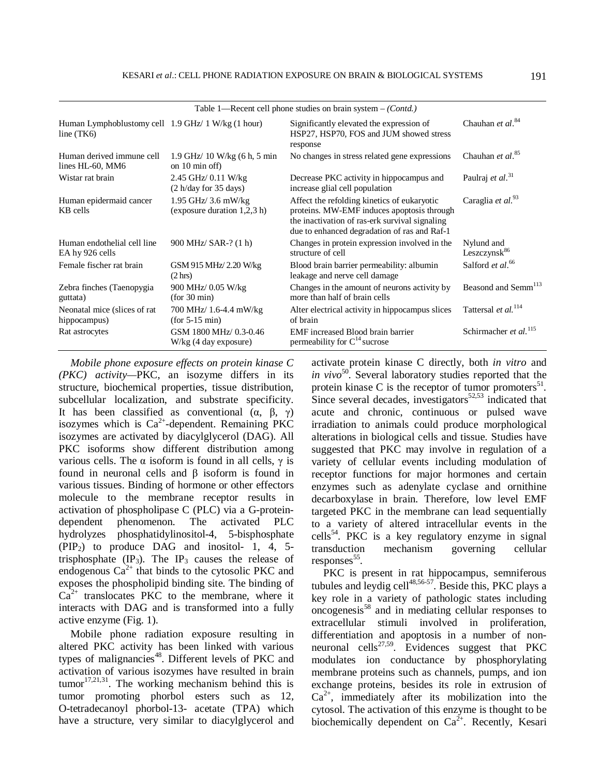| Human Lymphoblustomy cell 1.9 GHz/ 1 W/kg (1 hour)           | Significantly elevated the expression of<br>HSP27, HSP70, FOS and JUM showed stress<br>response                                                                                             | Chauhan et al. <sup>84</sup>                                           |  |  |
|--------------------------------------------------------------|---------------------------------------------------------------------------------------------------------------------------------------------------------------------------------------------|------------------------------------------------------------------------|--|--|
| $1.9$ GHz $/$ 10 W/kg (6 h, 5 min<br>on $10 \text{ min of}f$ | No changes in stress related gene expressions                                                                                                                                               | Chauhan et $al.^{85}$                                                  |  |  |
| 2.45 GHz/ 0.11 W/kg<br>(2 h/day for 35 days)                 | Decrease PKC activity in hippocampus and<br>increase glial cell population                                                                                                                  | Paulraj et al. <sup>31</sup>                                           |  |  |
| $1.95$ GHz/ $3.6$ mW/kg<br>(exposure duration $1,2,3$ h)     | Affect the refolding kinetics of eukaryotic<br>proteins. MW-EMF induces apoptosis through<br>the inactivation of ras-erk survival signaling<br>due to enhanced degradation of ras and Raf-1 | Caraglia et $al.^{93}$                                                 |  |  |
| 900 MHz/ SAR-? (1 h)                                         | Changes in protein expression involved in the<br>structure of cell                                                                                                                          | Nylund and<br>Leszczynsk <sup>86</sup>                                 |  |  |
| GSM 915 MHz/ 2.20 W/kg<br>$(2 \text{ hrs})$                  | Blood brain barrier permeability: albumin<br>leakage and nerve cell damage                                                                                                                  | Salford et al. <sup>66</sup>                                           |  |  |
| 900 MHz/ 0.05 W/kg<br>(for 30 min)                           | Changes in the amount of neurons activity by<br>more than half of brain cells                                                                                                               | Beasond and Semm <sup>113</sup>                                        |  |  |
| 700 MHz/ 1.6-4.4 mW/kg<br>$(for 5-15 min)$                   | Alter electrical activity in hippocampus slices<br>of brain                                                                                                                                 | Tattersal et al. <sup>114</sup>                                        |  |  |
| GSM 1800 MHz/ 0.3-0.46<br>$W/kg$ (4 day exposure)            | EMF increased Blood brain barrier<br>permeability for $C^{14}$ sucrose                                                                                                                      | Schirmacher et al. <sup>115</sup>                                      |  |  |
|                                                              |                                                                                                                                                                                             | Table 1—Recent cell phone studies on brain system $-(\text{Cont } d.)$ |  |  |

*Mobile phone exposure effects on protein kinase C (PKC) activity—*PKC, an isozyme differs in its structure, biochemical properties, tissue distribution, subcellular localization, and substrate specificity. It has been classified as conventional  $(\alpha, \beta, \gamma)$ isozymes which is  $Ca^{2+}$ -dependent. Remaining PKC isozymes are activated by diacylglycerol (DAG). All PKC isoforms show different distribution among various cells. The α isoform is found in all cells, γ is found in neuronal cells and β isoform is found in various tissues. Binding of hormone or other effectors molecule to the membrane receptor results in activation of phospholipase C (PLC) via a G-proteindependent phenomenon. The activated PLC hydrolyzes phosphatidylinositol-4, 5-bisphosphate  $(PIP<sub>2</sub>)$  to produce DAG and inositol- 1, 4, 5trisphosphate  $(\text{IP}_3)$ . The  $\text{IP}_3$  causes the release of endogenous  $Ca^{2+}$  that binds to the cytosolic PKC and exposes the phospholipid binding site. The binding of  $Ca^{2+}$  translocates PKC to the membrane, where it interacts with DAG and is transformed into a fully active enzyme (Fig. 1).

Mobile phone radiation exposure resulting in altered PKC activity has been linked with various types of malignancies<sup>48</sup>. Different levels of PKC and activation of various isozymes have resulted in brain tumor $17,21,31$ . The working mechanism behind this is tumor promoting phorbol esters such as 12, O-tetradecanoyl phorbol-13- acetate (TPA) which have a structure, very similar to diacylglycerol and

activate protein kinase C directly, both *in vitro* and *in vivo*<sup>50</sup>. Several laboratory studies reported that the protein kinase C is the receptor of tumor promoters $^{51}$ . Since several decades, investigators $52,53$  indicated that acute and chronic, continuous or pulsed wave irradiation to animals could produce morphological alterations in biological cells and tissue. Studies have suggested that PKC may involve in regulation of a variety of cellular events including modulation of receptor functions for major hormones and certain enzymes such as adenylate cyclase and ornithine decarboxylase in brain. Therefore, low level EMF targeted PKC in the membrane can lead sequentially to a variety of altered intracellular events in the cells<sup>54</sup>. PKC is a key regulatory enzyme in signal transduction mechanism governing cellular responses<sup>55</sup>.

PKC is present in rat hippocampus, semniferous tubules and leydig cell $^{48,56-57}$ . Beside this, PKC plays a key role in a variety of pathologic states including  $\overline{\text{or}}$  oncogenesis<sup>58</sup> and in mediating cellular responses to extracellular stimuli involved in proliferation, differentiation and apoptosis in a number of nonneuronal cells<sup>27,59</sup>. Evidences suggest that PKC modulates ion conductance by phosphorylating membrane proteins such as channels, pumps, and ion exchange proteins, besides its role in extrusion of  $Ca^{2+}$ , immediately after its mobilization into the cytosol. The activation of this enzyme is thought to be biochemically dependent on  $Ca^{2+}$ . Recently, Kesari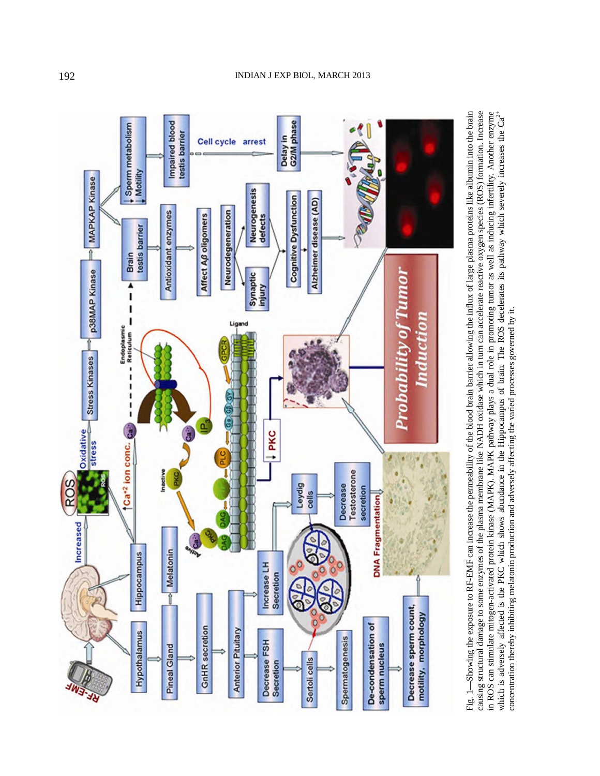

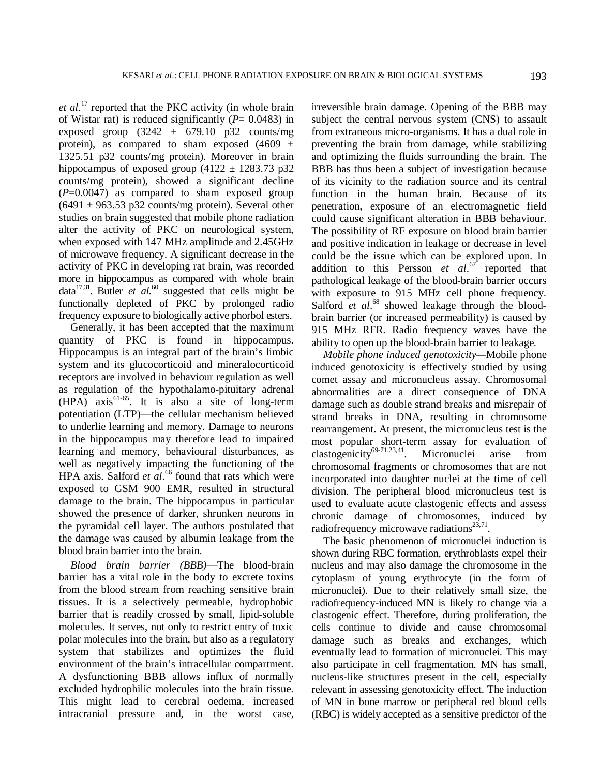et al.<sup>17</sup> reported that the PKC activity (in whole brain of Wistar rat) is reduced significantly  $(P= 0.0483)$  in exposed group  $(3242 \pm 679.10 \text{ p32} \text{ counts/mg})$ protein), as compared to sham exposed  $(4609 \pm$ 1325.51 p32 counts/mg protein). Moreover in brain hippocampus of exposed group  $(4122 \pm 1283.73 \text{ p}32)$ counts/mg protein), showed a significant decline (*P*=0.0047) as compared to sham exposed group  $(6491 \pm 963.53 \text{ p}32 \text{ counts/mg protein})$ . Several other studies on brain suggested that mobile phone radiation alter the activity of PKC on neurological system, when exposed with 147 MHz amplitude and 2.45GHz of microwave frequency. A significant decrease in the activity of PKC in developing rat brain, was recorded more in hippocampus as compared with whole brain data<sup>17,31</sup>. Butler *et al.*<sup>60</sup> suggested that cells might be functionally depleted of PKC by prolonged radio frequency exposure to biologically active phorbol esters.

Generally, it has been accepted that the maximum quantity of PKC is found in hippocampus. Hippocampus is an integral part of the brain's limbic system and its glucocorticoid and mineralocorticoid receptors are involved in behaviour regulation as well as regulation of the hypothalamo-pituitary adrenal  $(HPA)$  axis<sup>61-65</sup>. It is also a site of long-term potentiation (LTP)—the cellular mechanism believed to underlie learning and memory. Damage to neurons in the hippocampus may therefore lead to impaired learning and memory, behavioural disturbances, as well as negatively impacting the functioning of the HPA axis. Salford *et al.*<sup>66</sup> found that rats which were exposed to GSM 900 EMR, resulted in structural damage to the brain. The hippocampus in particular showed the presence of darker, shrunken neurons in the pyramidal cell layer. The authors postulated that the damage was caused by albumin leakage from the blood brain barrier into the brain.

*Blood brain barrier (BBB)*—The blood-brain barrier has a vital role in the body to excrete toxins from the blood stream from reaching sensitive brain tissues. It is a selectively permeable, hydrophobic barrier that is readily crossed by small, lipid-soluble molecules. It serves, not only to restrict entry of toxic polar molecules into the brain, but also as a regulatory system that stabilizes and optimizes the fluid environment of the brain's intracellular compartment. A dysfunctioning BBB allows influx of normally excluded hydrophilic molecules into the brain tissue. This might lead to cerebral oedema, increased intracranial pressure and, in the worst case,

irreversible brain damage. Opening of the BBB may subject the central nervous system (CNS) to assault from extraneous micro-organisms. It has a dual role in preventing the brain from damage, while stabilizing and optimizing the fluids surrounding the brain. The BBB has thus been a subject of investigation because of its vicinity to the radiation source and its central function in the human brain. Because of its penetration, exposure of an electromagnetic field could cause significant alteration in BBB behaviour. The possibility of RF exposure on blood brain barrier and positive indication in leakage or decrease in level could be the issue which can be explored upon. In addition to this Persson *et al*. <sup>67</sup> reported that pathological leakage of the blood-brain barrier occurs with exposure to 915 MHz cell phone frequency. Salford *et al.*<sup>68</sup> showed leakage through the bloodbrain barrier (or increased permeability) is caused by 915 MHz RFR. Radio frequency waves have the ability to open up the blood-brain barrier to leakage.

*Mobile phone induced genotoxicity—*Mobile phone induced genotoxicity is effectively studied by using comet assay and micronucleus assay. Chromosomal abnormalities are a direct consequence of DNA damage such as double strand breaks and misrepair of strand breaks in DNA, resulting in chromosome rearrangement. At present, the micronucleus test is the most popular short-term assay for evaluation of clastogenicity<sup>69-71,23,41</sup>. Micronuclei arise from chromosomal fragments or chromosomes that are not incorporated into daughter nuclei at the time of cell division. The peripheral blood micronucleus test is used to evaluate acute clastogenic effects and assess chronic damage of chromosomes, induced by radiofrequency microwave radiations<sup>23,71</sup>.

The basic phenomenon of micronuclei induction is shown during RBC formation, erythroblasts expel their nucleus and may also damage the chromosome in the cytoplasm of young erythrocyte (in the form of micronuclei). Due to their relatively small size, the radiofrequency-induced MN is likely to change via a clastogenic effect. Therefore, during proliferation, the cells continue to divide and cause chromosomal damage such as breaks and exchanges, which eventually lead to formation of micronuclei. This may also participate in cell fragmentation. MN has small, nucleus-like structures present in the cell, especially relevant in assessing genotoxicity effect. The induction of MN in bone marrow or peripheral red blood cells (RBC) is widely accepted as a sensitive predictor of the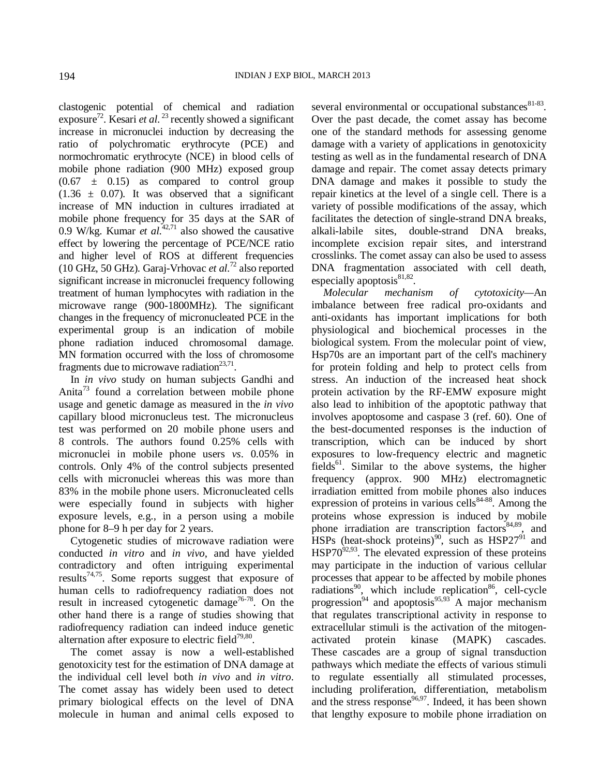clastogenic potential of chemical and radiation exposure<sup>72</sup>. Kesari *et al.*<sup>23</sup> recently showed a significant increase in micronuclei induction by decreasing the ratio of polychromatic erythrocyte (PCE) and normochromatic erythrocyte (NCE) in blood cells of mobile phone radiation (900 MHz) exposed group  $(0.67 \pm 0.15)$  as compared to control group  $(1.36 \pm 0.07)$ . It was observed that a significant increase of MN induction in cultures irradiated at mobile phone frequency for 35 days at the SAR of 0.9 W/kg. Kumar *et al.*<sup>42,71</sup> also showed the causative effect by lowering the percentage of PCE/NCE ratio and higher level of ROS at different frequencies (10 GHz, 50 GHz). Garaj-Vrhovac *et al*. <sup>72</sup> also reported significant increase in micronuclei frequency following treatment of human lymphocytes with radiation in the microwave range (900-1800MHz). The significant changes in the frequency of micronucleated PCE in the experimental group is an indication of mobile phone radiation induced chromosomal damage. MN formation occurred with the loss of chromosome fragments due to microwave radiation $^{23,71}$ .

In *in vivo* study on human subjects Gandhi and Anita<sup>73</sup> found a correlation between mobile phone usage and genetic damage as measured in the *in vivo* capillary blood micronucleus test. The micronucleus test was performed on 20 mobile phone users and 8 controls. The authors found 0.25% cells with micronuclei in mobile phone users *vs*. 0.05% in controls. Only 4% of the control subjects presented cells with micronuclei whereas this was more than 83% in the mobile phone users. Micronucleated cells were especially found in subjects with higher exposure levels, e.g., in a person using a mobile phone for 8–9 h per day for 2 years.

Cytogenetic studies of microwave radiation were conducted *in vitro* and *in vivo*, and have yielded contradictory and often intriguing experimental results<sup>74,75</sup>. Some reports suggest that exposure of human cells to radiofrequency radiation does not result in increased cytogenetic damage<sup>76-78</sup>. On the other hand there is a range of studies showing that radiofrequency radiation can indeed induce genetic alternation after exposure to electric field $79,80$ .

The comet assay is now a well-established genotoxicity test for the estimation of DNA damage at the individual cell level both *in vivo* and *in vitro*. The comet assay has widely been used to detect primary biological effects on the level of DNA molecule in human and animal cells exposed to

several environmental or occupational substances  $81-83$ . Over the past decade, the comet assay has become one of the standard methods for assessing genome damage with a variety of applications in genotoxicity testing as well as in the fundamental research of DNA damage and repair. The comet assay detects primary DNA damage and makes it possible to study the repair kinetics at the level of a single cell. There is a variety of possible modifications of the assay, which facilitates the detection of single-strand DNA breaks, alkali-labile sites, double-strand DNA breaks, incomplete excision repair sites, and interstrand crosslinks. The comet assay can also be used to assess DNA fragmentation associated with cell death, especially apoptosis<sup>81,82</sup>.

*Molecular mechanism of cytotoxicity—*An imbalance between free radical pro-oxidants and anti-oxidants has important implications for both physiological and biochemical processes in the biological system. From the molecular point of view, Hsp70s are an important part of the cell's machinery for protein folding and help to protect cells from stress. An induction of the increased heat shock protein activation by the RF-EMW exposure might also lead to inhibition of the apoptotic pathway that involves apoptosome and caspase 3 (ref. 60). One of the best-documented responses is the induction of transcription, which can be induced by short exposures to low-frequency electric and magnetic fields<sup>61</sup>. Similar to the above systems, the higher frequency (approx. 900 MHz) electromagnetic irradiation emitted from mobile phones also induces expression of proteins in various  $\text{cells}^{84-88}$ . Among the proteins whose expression is induced by mobile phone irradiation are transcription factors $84,89$ , and  $HSPs$  (heat-shock proteins)<sup>90</sup>, such as  $HSP27^{91}$  and  $HSP70^{92,93}$ . The elevated expression of these proteins may participate in the induction of various cellular processes that appear to be affected by mobile phones radiations<sup>90</sup>, which include replication<sup>86</sup>, cell-cycle progression<sup>94</sup> and apoptosis<sup>95,93</sup><sup>A</sup> major mechanism that regulates transcriptional activity in response to extracellular stimuli is the activation of the mitogenactivated protein kinase (MAPK) cascades. These cascades are a group of signal transduction pathways which mediate the effects of various stimuli to regulate essentially all stimulated processes, including proliferation, differentiation, metabolism and the stress response<sup>96,97</sup>. Indeed, it has been shown that lengthy exposure to mobile phone irradiation on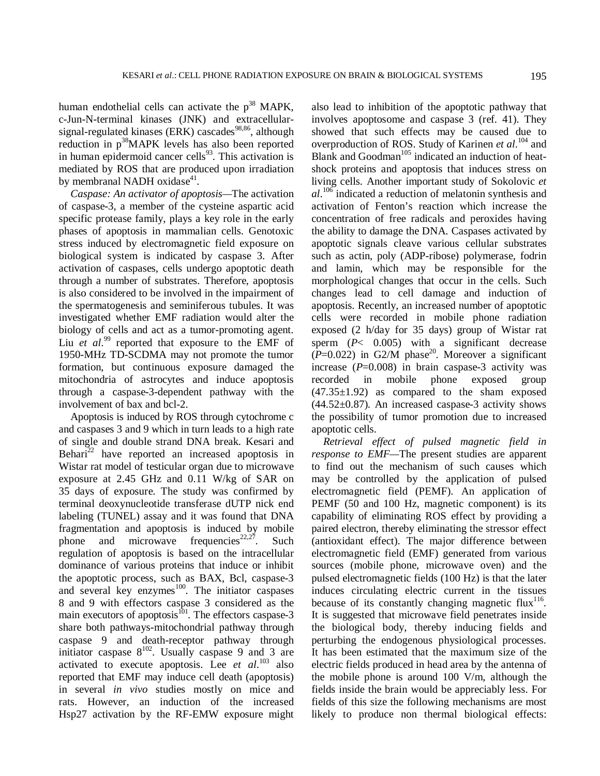human endothelial cells can activate the  $p^{38}$  MAPK, c-Jun-N-terminal kinases (JNK) and extracellularsignal-regulated kinases (ERK) cascades<sup>98,86</sup>, although reduction in  $p^{38}$ MAPK levels has also been reported in human epidermoid cancer cells $93$ . This activation is mediated by ROS that are produced upon irradiation by membranal NADH oxidase<sup>41</sup>.

*Caspase: An activator of apoptosis—*The activation of caspase-3, a member of the cysteine aspartic acid specific protease family, plays a key role in the early phases of apoptosis in mammalian cells. Genotoxic stress induced by electromagnetic field exposure on biological system is indicated by caspase 3. After activation of caspases, cells undergo apoptotic death through a number of substrates. Therefore, apoptosis is also considered to be involved in the impairment of the spermatogenesis and seminiferous tubules. It was investigated whether EMF radiation would alter the biology of cells and act as a tumor-promoting agent. Liu *et al.*<sup>99</sup> reported that exposure to the EMF of 1950-MHz TD-SCDMA may not promote the tumor formation, but continuous exposure damaged the mitochondria of astrocytes and induce apoptosis through a caspase-3-dependent pathway with the involvement of bax and bcl-2.

Apoptosis is induced by ROS through cytochrome c and caspases 3 and 9 which in turn leads to a high rate of single and double strand DNA break. Kesari and Behari<sup>22</sup> have reported an increased apoptosis in Wistar rat model of testicular organ due to microwave exposure at 2.45 GHz and 0.11 W/kg of SAR on 35 days of exposure. The study was confirmed by terminal deoxynucleotide transferase dUTP nick end labeling (TUNEL) assay and it was found that DNA fragmentation and apoptosis is induced by mobile phone and microwave frequencies<sup>22,27</sup>. Such regulation of apoptosis is based on the intracellular dominance of various proteins that induce or inhibit the apoptotic process, such as BAX, Bcl, caspase-3 and several key enzymes $100$ . The initiator caspases 8 and 9 with effectors caspase 3 considered as the main executors of apoptosis $^{101}$ . The effectors caspase-3 share both pathways-mitochondrial pathway through caspase 9 and death-receptor pathway through initiator caspase  $8^{102}$ . Usually caspase 9 and 3 are activated to execute apoptosis. Lee *et al*. <sup>103</sup> also reported that EMF may induce cell death (apoptosis) in several *in vivo* studies mostly on mice and rats. However, an induction of the increased Hsp27 activation by the RF-EMW exposure might

also lead to inhibition of the apoptotic pathway that involves apoptosome and caspase 3 (ref. 41). They showed that such effects may be caused due to overproduction of ROS. Study of Karinen *et al*.<sup>104</sup> and Blank and Goodman $105$  indicated an induction of heatshock proteins and apoptosis that induces stress on living cells. Another important study of Sokolovic *et al*. <sup>106</sup> indicated a reduction of melatonin synthesis and activation of Fenton's reaction which increase the concentration of free radicals and peroxides having the ability to damage the DNA. Caspases activated by apoptotic signals cleave various cellular substrates such as actin, poly (ADP-ribose) polymerase, fodrin and lamin, which may be responsible for the morphological changes that occur in the cells. Such changes lead to cell damage and induction of apoptosis. Recently, an increased number of apoptotic cells were recorded in mobile phone radiation exposed (2 h/day for 35 days) group of Wistar rat sperm (*P*< 0.005) with a significant decrease  $(P=0.022)$  in G2/M phase<sup>20</sup>. Moreover a significant increase  $(P=0.008)$  in brain caspase-3 activity was recorded in mobile phone exposed group  $(47.35\pm1.92)$  as compared to the sham exposed  $(44.52\pm0.87)$ . An increased caspase-3 activity shows the possibility of tumor promotion due to increased apoptotic cells.

*Retrieval effect of pulsed magnetic field in response to EMF—*The present studies are apparent to find out the mechanism of such causes which may be controlled by the application of pulsed electromagnetic field (PEMF). An application of PEMF (50 and 100 Hz, magnetic component) is its capability of eliminating ROS effect by providing a paired electron, thereby eliminating the stressor effect (antioxidant effect). The major difference between electromagnetic field (EMF) generated from various sources (mobile phone, microwave oven) and the pulsed electromagnetic fields (100 Hz) is that the later induces circulating electric current in the tissues because of its constantly changing magnetic flux<sup>116</sup>. It is suggested that microwave field penetrates inside the biological body, thereby inducing fields and perturbing the endogenous physiological processes. It has been estimated that the maximum size of the electric fields produced in head area by the antenna of the mobile phone is around 100 V/m, although the fields inside the brain would be appreciably less. For fields of this size the following mechanisms are most likely to produce non thermal biological effects: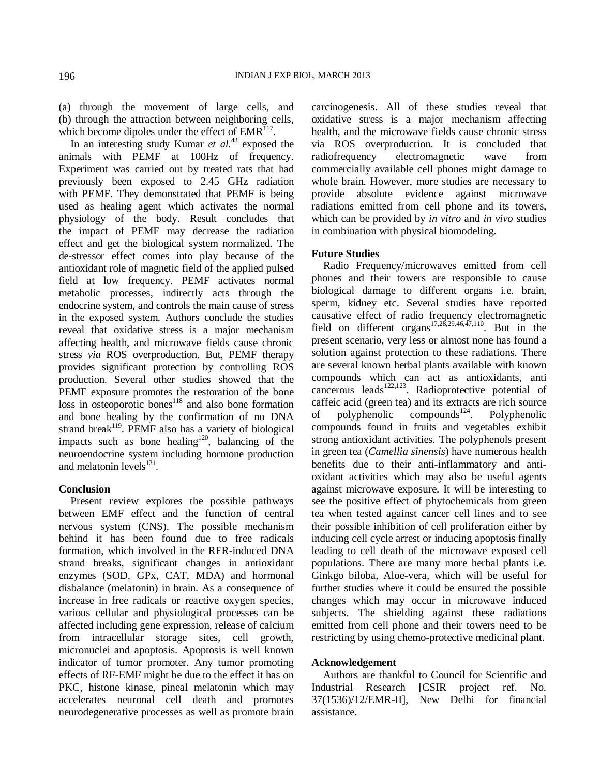(a) through the movement of large cells, and (b) through the attraction between neighboring cells, which become dipoles under the effect of  $EMR<sup>117</sup>$ .

In an interesting study Kumar *et al.*<sup>43</sup> exposed the animals with PEMF at 100Hz of frequency. Experiment was carried out by treated rats that had previously been exposed to 2.45 GHz radiation with PEMF. They demonstrated that PEMF is being used as healing agent which activates the normal physiology of the body. Result concludes that the impact of PEMF may decrease the radiation effect and get the biological system normalized. The de-stressor effect comes into play because of the antioxidant role of magnetic field of the applied pulsed field at low frequency. PEMF activates normal metabolic processes, indirectly acts through the endocrine system, and controls the main cause of stress in the exposed system. Authors conclude the studies reveal that oxidative stress is a major mechanism affecting health, and microwave fields cause chronic stress *via* ROS overproduction. But, PEMF therapy provides significant protection by controlling ROS production. Several other studies showed that the PEMF exposure promotes the restoration of the bone loss in osteoporotic bones<sup>118</sup> and also bone formation and bone healing by the confirmation of no DNA strand break<sup>119</sup>. PEMF also has a variety of biological impacts such as bone healing<sup>120</sup>, balancing of the neuroendocrine system including hormone production and melatonin levels $^{121}$ .

#### **Conclusion**

Present review explores the possible pathways between EMF effect and the function of central nervous system (CNS). The possible mechanism behind it has been found due to free radicals formation, which involved in the RFR-induced DNA strand breaks, significant changes in antioxidant enzymes (SOD, GPx, CAT, MDA) and hormonal disbalance (melatonin) in brain. As a consequence of increase in free radicals or reactive oxygen species, various cellular and physiological processes can be affected including gene expression, release of calcium from intracellular storage sites, cell growth, micronuclei and apoptosis. Apoptosis is well known indicator of tumor promoter. Any tumor promoting effects of RF-EMF might be due to the effect it has on PKC, histone kinase, pineal melatonin which may accelerates neuronal cell death and promotes neurodegenerative processes as well as promote brain

carcinogenesis. All of these studies reveal that oxidative stress is a major mechanism affecting health, and the microwave fields cause chronic stress via ROS overproduction. It is concluded that radiofrequency electromagnetic wave from commercially available cell phones might damage to whole brain. However, more studies are necessary to provide absolute evidence against microwave radiations emitted from cell phone and its towers, which can be provided by *in vitro* and *in vivo* studies in combination with physical biomodeling.

### **Future Studies**

Radio Frequency/microwaves emitted from cell phones and their towers are responsible to cause biological damage to different organs i.e. brain, sperm, kidney etc. Several studies have reported causative effect of radio frequency electromagnetic field on different organs<sup>17,28,29,46,47,110</sup>. But in the present scenario, very less or almost none has found a solution against protection to these radiations. There are several known herbal plants available with known compounds which can act as antioxidants, anti cancerous leads<sup>122,123</sup>. Radioprotective potential of caffeic acid (green tea) and its extracts are rich source of polyphenolic compounds<sup>124</sup>. Polyphenolic compounds found in fruits and vegetables exhibit strong antioxidant activities. The polyphenols present in green tea (*Camellia sinensis*) have numerous health benefits due to their anti-inflammatory and antioxidant activities which may also be useful agents against microwave exposure. It will be interesting to see the positive effect of phytochemicals from green tea when tested against cancer cell lines and to see their possible inhibition of cell proliferation either by inducing cell cycle arrest or inducing apoptosis finally leading to cell death of the microwave exposed cell populations. There are many more herbal plants i.e. Ginkgo biloba, Aloe-vera, which will be useful for further studies where it could be ensured the possible changes which may occur in microwave induced subjects. The shielding against these radiations emitted from cell phone and their towers need to be restricting by using chemo-protective medicinal plant.

#### **Acknowledgement**

Authors are thankful to Council for Scientific and Industrial Research [CSIR project ref. No. 37(1536)/12/EMR-II], New Delhi for financial assistance.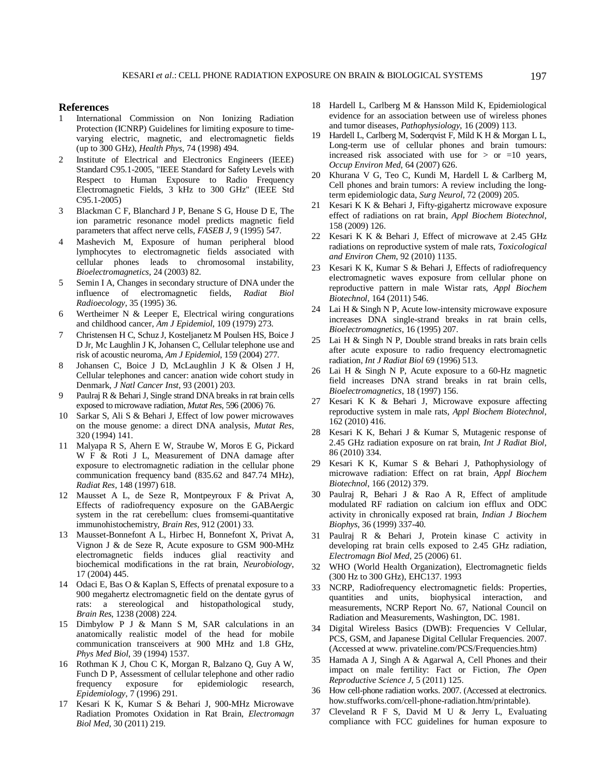#### **References**

- 1 International Commission on Non Ionizing Radiation Protection (ICNRP) Guidelines for limiting exposure to timevarying electric, magnetic, and electromagnetic fields (up to 300 GHz), *Health Phys*, 74 (1998) 494.
- 2 Institute of Electrical and Electronics Engineers (IEEE) Standard C95.1-2005, "IEEE Standard for Safety Levels with Respect to Human Exposure to Radio Frequency Electromagnetic Fields, 3 kHz to 300 GHz" (IEEE Std C95.1-2005)
- 3 Blackman C F, Blanchard J P, Benane S G, House D E, The ion parametric resonance model predicts magnetic field parameters that affect nerve cells, *FASEB J*, 9 (1995) 547.
- 4 Mashevich M, Exposure of human peripheral blood lymphocytes to electromagnetic fields associated with cellular phones leads to chromosomal instability, *Bioelectromagnetics*, 24 (2003) 82.
- 5 Semin I A, Changes in secondary structure of DNA under the influence of electromagnetic fields, *Radiat Biol Radioecology*, 35 (1995) 36.
- 6 Wertheimer N & Leeper E, Electrical wiring congurations and childhood cancer, *Am J Epidemiol*, 109 (1979) 273.
- 7 Christensen H C, Schuz J, Kosteljanetz M Poulsen HS, Boice J D Jr, Mc Laughlin J K, Johansen C, Cellular telephone use and risk of acoustic neuroma, *Am J Epidemiol*, 159 (2004) 277.
- 8 Johansen C, Boice J D, McLaughlin J K & Olsen J H, Cellular telephones and cancer: anation wide cohort study in Denmark, *J Natl Cancer Inst*, 93 (2001) 203.
- 9 Paulraj R & Behari J, Single strand DNA breaks in rat brain cells exposed to microwave radiation, *Mutat Res*, 596 (2006) 76.
- 10 Sarkar S, Ali S & Behari J, Effect of low power microwaves on the mouse genome: a direct DNA analysis, *Mutat Res*, 320 (1994) 141.
- 11 Malyapa R S, Ahern E W, Straube W, Moros E G, Pickard W F & Roti J L, Measurement of DNA damage after exposure to electromagnetic radiation in the cellular phone communication frequency band (835.62 and 847.74 MHz), *Radiat Res*, 148 (1997) 618.
- 12 Mausset A L, de Seze R, Montpeyroux F & Privat A, Effects of radiofrequency exposure on the GABAergic system in the rat cerebellum: clues fromsemi-quantitative immunohistochemistry, *Brain Res,* 912 (2001) 33.
- 13 Mausset-Bonnefont A L, Hirbec H, Bonnefont X, Privat A, Vignon J & de Seze R, Acute exposure to GSM 900-MHz electromagnetic fields induces glial reactivity and biochemical modifications in the rat brain, *Neurobiology*, 17 (2004) 445.
- 14 Odaci E, Bas O & Kaplan S, Effects of prenatal exposure to a 900 megahertz electromagnetic field on the dentate gyrus of rats: a stereological and histopathological study, *Brain Res*, 1238 (2008) 224.
- 15 Dimbylow P J & Mann S M, SAR calculations in an anatomically realistic model of the head for mobile communication transceivers at 900 MHz and 1.8 GHz, *Phys Med Biol*, 39 (1994) 1537.
- 16 Rothman K J, Chou C K, Morgan R, Balzano Q, Guy A W, Funch D P, Assessment of cellular telephone and other radio frequency exposure for epidemiologic research, *Epidemiology*, 7 (1996) 291.
- 17 Kesari K K, Kumar S & Behari J, 900-MHz Microwave Radiation Promotes Oxidation in Rat Brain, *Electromagn Biol Med*, 30 (2011) 219.
- 18 Hardell L, Carlberg M & Hansson Mild K, Epidemiological evidence for an association between use of wireless phones and tumor diseases, *Pathophysiology*, 16 (2009) 113.
- 19 Hardell L, Carlberg M, Soderqvist F, Mild K H & Morgan L L, Long-term use of cellular phones and brain tumours: increased risk associated with use for  $>$  or  $=10$  years, *Occup Environ Med*, 64 (2007) 626.
- 20 Khurana V G, Teo C, Kundi M, Hardell L & Carlberg M, Cell phones and brain tumors: A review including the longterm epidemiologic data, *Surg Neurol*, 72 (2009) 205.
- 21 Kesari K K & Behari J, Fifty-gigahertz microwave exposure effect of radiations on rat brain, *Appl Biochem Biotechnol*, 158 (2009) 126.
- 22 Kesari K K & Behari J, Effect of microwave at 2.45 GHz radiations on reproductive system of male rats, *Toxicological and Environ Chem*, 92 (2010) 1135.
- 23 Kesari K K, Kumar S & Behari J, Effects of radiofrequency electromagnetic waves exposure from cellular phone on reproductive pattern in male Wistar rats, *Appl Biochem Biotechnol*, 164 (2011) 546.
- 24 Lai H & Singh N P, Acute low-intensity microwave exposure increases DNA single-strand breaks in rat brain cells, *Bioelectromagnetics*, 16 (1995) 207.
- 25 Lai H & Singh N P, Double strand breaks in rats brain cells after acute exposure to radio frequency electromagnetic radiation, *Int J Radiat Biol* 69 (1996) 513.
- 26 Lai H & Singh N P, Acute exposure to a 60-Hz magnetic field increases DNA strand breaks in rat brain cells, *Bioelectromagnetics*, 18 (1997) 156.
- 27 Kesari K K & Behari J, Microwave exposure affecting reproductive system in male rats, *Appl Biochem Biotechnol*, 162 (2010) 416.
- 28 Kesari K K, Behari J & Kumar S, Mutagenic response of 2.45 GHz radiation exposure on rat brain, *Int J Radiat Biol*, 86 (2010) 334.
- 29 Kesari K K, Kumar S & Behari J, Pathophysiology of microwave radiation: Effect on rat brain, *Appl Biochem Biotechnol*, 166 (2012) 379.
- 30 Paulraj R, Behari J & Rao A R, Effect of amplitude modulated RF radiation on calcium ion efflux and ODC activity in chronically exposed rat brain, *Indian J Biochem Biophys*, 36 (1999) 337-40.
- 31 Paulraj R & Behari J, Protein kinase C activity in developing rat brain cells exposed to 2.45 GHz radiation, *Electromagn Biol Med*, 25 (2006) 61.
- 32 WHO (World Health Organization), Electromagnetic fields (300 Hz to 300 GHz), EHC137. 1993
- 33 NCRP, Radiofrequency electromagnetic fields: Properties, quantities and units, biophysical interaction, and measurements, NCRP Report No. 67, National Council on Radiation and Measurements, Washington, DC. 1981.
- 34 Digital Wireless Basics (DWB): Frequencies V Cellular, PCS, GSM, and Japanese Digital Cellular Frequencies. 2007. (Accessed at www. privateline.com/PCS/Frequencies.htm)
- 35 Hamada A J, Singh A & Agarwal A, Cell Phones and their impact on male fertility: Fact or Fiction, *The Open Reproductive Science J*, 5 (2011) 125.
- 36 How cell-phone radiation works. 2007. (Accessed at electronics. how.stuffworks.com/cell-phone-radiation.htm/printable).
- 37 Cleveland R F S, David M U & Jerry L, Evaluating compliance with FCC guidelines for human exposure to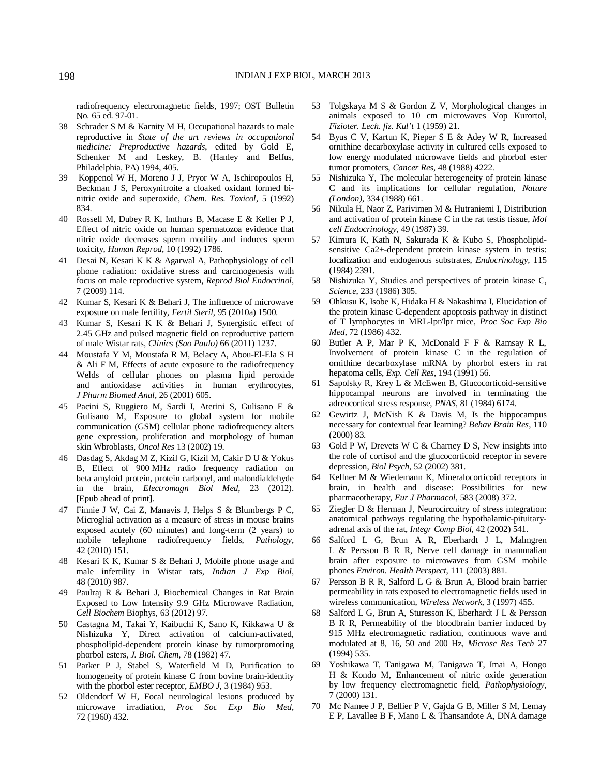radiofrequency electromagnetic fields, 1997; OST Bulletin No. 65 ed. 97-01.

- 38 Schrader S M & Karnity M H, Occupational hazards to male reproductive in *State of the art reviews in occupational medicine: Preproductive hazards*, edited by Gold E, Schenker M and Leskey, B. (Hanley and Belfus, Philadelphia, PA) 1994, 405.
- 39 Koppenol W H, Moreno J J, Pryor W A, Ischiropoulos H, Beckman J S, Peroxynitroite a cloaked oxidant formed binitric oxide and superoxide, *Chem. Res. Toxicol*, 5 (1992) 834.
- 40 Rossell M, Dubey R K, Imthurs B, Macase E & Keller P J, Effect of nitric oxide on human spermatozoa evidence that nitric oxide decreases sperm motility and induces sperm toxicity, *Human Reprod*, 10 (1992) 1786.
- 41 Desai N, Kesari K K & Agarwal A, Pathophysiology of cell phone radiation: oxidative stress and carcinogenesis with focus on male reproductive system, *Reprod Biol Endocrinol*, 7 (2009) 114.
- 42 Kumar S, Kesari K & Behari J, The influence of microwave exposure on male fertility, *Fertil Steril*, 95 (2010a) 1500.
- 43 Kumar S, Kesari K K & Behari J, Synergistic effect of 2.45 GHz and pulsed magnetic field on reproductive pattern of male Wistar rats, *Clinics (Sao Paulo)* 66 (2011) 1237.
- 44 Moustafa Y M, Moustafa R M, Belacy A, Abou-El-Ela S H & Ali F M, Effects of acute exposure to the radiofrequency Welds of cellular phones on plasma lipid peroxide and antioxidase activities in human erythrocytes, *J Pharm Biomed Anal*, 26 (2001) 605.
- 45 Pacini S, Ruggiero M, Sardi I, Aterini S, Gulisano F & Gulisano M, Exposure to global system for mobile communication (GSM) cellular phone radiofrequency alters gene expression, proliferation and morphology of human skin Wbroblasts, *Oncol Res* 13 (2002) 19.
- 46 Dasdag S, Akdag M Z, Kizil G, Kizil M, Cakir D U & Yokus B, Effect of 900 MHz radio frequency radiation on beta amyloid protein, protein carbonyl, and malondialdehyde in the brain, *Electromagn Biol Med*, 23 (2012). [Epub ahead of print].
- 47 Finnie J W, Cai Z, Manavis J, Helps S & Blumbergs P C, Microglial activation as a measure of stress in mouse brains exposed acutely (60 minutes) and long-term (2 years) to mobile telephone radiofrequency fields, *Pathology*, 42 (2010) 151.
- 48 Kesari K K, Kumar S & Behari J, Mobile phone usage and male infertility in Wistar rats, *Indian J Exp Biol*, 48 (2010) 987.
- 49 Paulraj R & Behari J, Biochemical Changes in Rat Brain Exposed to Low Intensity 9.9 GHz Microwave Radiation, *Cell Biochem* Biophys, 63 (2012) 97.
- 50 Castagna M, Takai Y, Kaibuchi K, Sano K, Kikkawa U & Nishizuka Y, Direct activation of calcium-activated, phospholipid-dependent protein kinase by tumorpromoting phorbol esters, *J. Biol. Chem*, 78 (1982) 47.
- 51 Parker P J, Stabel S, Waterfield M D, Purification to homogeneity of protein kinase C from bovine brain-identity with the phorbol ester receptor, *EMBO J*, 3 (1984) 953.
- 52 Oldendorf W H, Focal neurological lesions produced by microwave irradiation, *Proc Soc Exp Bio Med*, 72 (1960) 432.
- 53 Tolgskaya M S & Gordon Z V, Morphological changes in animals exposed to 10 cm microwaves Vop Kurortol, *Fizioter. Lech. fiz. Kul't* 1 (1959) 21.
- 54 Byus C V, Kartun K, Pieper S E & Adey W R, Increased ornithine decarboxylase activity in cultured cells exposed to low energy modulated microwave fields and phorbol ester tumor promoters, *Cancer Res*, 48 (1988) 4222.
- 55 Nishizuka Y, The molecular heterogeneity of protein kinase C and its implications for cellular regulation, *Nature (London)*, 334 (1988) 661.
- 56 Nikula H, Naor Z, Parivimen M & Hutraniemi I, Distribution and activation of protein kinase C in the rat testis tissue, *Mol cell Endocrinology*, 49 (1987) 39.
- 57 Kimura K, Kath N, Sakurada K & Kubo S, Phospholipidsensitive Ca2+-dependent protein kinase system in testis: localization and endogenous substrates, *Endocrinology,* 115 (1984) 2391.
- 58 Nishizuka Y, Studies and perspectives of protein kinase C, *Science*, 233 (1986) 305.
- 59 Ohkusu K, Isobe K, Hidaka H & Nakashima I, Elucidation of the protein kinase C-dependent apoptosis pathway in distinct of T lymphocytes in MRL-lpr/lpr mice, *Proc Soc Exp Bio Med*, 72 (1986) 432.
- 60 Butler A P, Mar P K, McDonald F F & Ramsay R L, Involvement of protein kinase C in the regulation of ornithine decarboxylase mRNA by phorbol esters in rat hepatoma cells, *Exp. Cell Res*, 194 (1991) 56.
- 61 Sapolsky R, Krey L & McEwen B, Glucocorticoid-sensitive hippocampal neurons are involved in terminating the adreocortical stress response, *PNAS*, 81 (1984) 6174.
- 62 Gewirtz J, McNish K & Davis M, Is the hippocampus necessary for contextual fear learning? *Behav Brain Res*, 110 (2000) 83.
- 63 Gold P W, Drevets W C & Charney D S, New insights into the role of cortisol and the glucocorticoid receptor in severe depression, *Biol Psych*, 52 (2002) 381.
- 64 Kellner M & Wiedemann K, Mineralocorticoid receptors in brain, in health and disease: Possibilities for new pharmacotherapy, *Eur J Pharmacol*, 583 (2008) 372.
- 65 Ziegler D & Herman J, Neurocircuitry of stress integration: anatomical pathways regulating the hypothalamic-pituitaryadrenal axis of the rat, *Integr Comp Biol*, 42 (2002) 541.
- 66 Salford L G, Brun A R, Eberhardt J L, Malmgren L & Persson B R R, Nerve cell damage in mammalian brain after exposure to microwaves from GSM mobile phones *Environ. Health Perspect*, 111 (2003) 881.
- 67 Persson B R R, Salford L G & Brun A, Blood brain barrier permeability in rats exposed to electromagnetic fields used in wireless communication, *Wireless Network*, 3 (1997) 455.
- 68 Salford L G, Brun A, Sturesson K, Eberhardt J L & Persson B R R, Permeability of the bloodbrain barrier induced by 915 MHz electromagnetic radiation, continuous wave and modulated at 8, 16, 50 and 200 Hz, *Microsc Res Tech* 27 (1994) 535.
- 69 Yoshikawa T, Tanigawa M, Tanigawa T, Imai A, Hongo H & Kondo M, Enhancement of nitric oxide generation by low frequency electromagnetic field, *Pathophysiology*, 7 (2000) 131.
- 70 Mc Namee J P, Bellier P V, Gajda G B, Miller S M, Lemay E P, Lavallee B F, Mano L & Thansandote A, DNA damage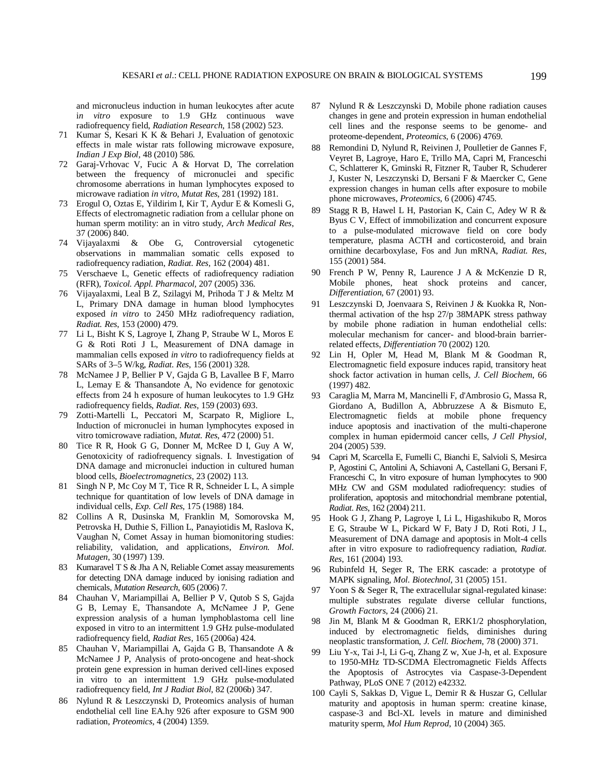and micronucleus induction in human leukocytes after acute i*n vitro* exposure to 1.9 GHz continuous wave radiofrequency field, *Radiation Research*, 158 (2002) 523.

- 71 Kumar S, Kesari K K & Behari J, Evaluation of genotoxic effects in male wistar rats following microwave exposure, *Indian J Exp Biol,* 48 (2010) 586.
- 72 Garaj-Vrhovac V, Fucic A & Horvat D, The correlation between the frequency of micronuclei and specific chromosome aberrations in human lymphocytes exposed to microwave radiation *in vitro*, *Mutat Res*, 281 (1992) 181.
- 73 Erogul O, Oztas E, Yildirim I, Kir T, Aydur E & Komesli G, Effects of electromagnetic radiation from a cellular phone on human sperm motility: an in vitro study, *Arch Medical Res*, 37 (2006) 840.
- 74 Vijayalaxmi & Obe G, Controversial cytogenetic observations in mammalian somatic cells exposed to radiofrequency radiation, *Radiat. Res,* 162 (2004) 481.
- 75 Verschaeve L, Genetic effects of radiofrequency radiation (RFR), *Toxicol. Appl. Pharmacol,* 207 (2005) 336.
- 76 Vijayalaxmi, Leal B Z, Szilagyi M, Prihoda T J & Meltz M L, Primary DNA damage in human blood lymphocytes exposed *in vitro* to 2450 MHz radiofrequency radiation, *Radiat. Res*, 153 (2000) 479.
- 77 Li L, Bisht K S, Lagroye I, Zhang P, Straube W L, Moros E G & Roti Roti J L, Measurement of DNA damage in mammalian cells exposed *in vitro* to radiofrequency fields at SARs of 3–5 W/kg, *Radiat. Res*, 156 (2001) 328.
- 78 McNamee J P, Bellier P V, Gajda G B, Lavallee B F, Marro L, Lemay E & Thansandote A, No evidence for genotoxic effects from 24 h exposure of human leukocytes to 1.9 GHz radiofrequency fields, *Radiat. Res*, 159 (2003) 693.
- 79 Zotti-Martelli L, Peccatori M, Scarpato R, Migliore L, Induction of micronuclei in human lymphocytes exposed in vitro tomicrowave radiation, *Mutat. Res*, 472 (2000) 51.
- 80 Tice R R, Hook G G, Donner M, McRee D I, Guy A W, Genotoxicity of radiofrequency signals. I. Investigation of DNA damage and micronuclei induction in cultured human blood cells, *Bioelectromagnetics*, 23 (2002) 113.
- 81 Singh N P, Mc Coy M T, Tice R R, Schneider L L, A simple technique for quantitation of low levels of DNA damage in individual cells, *Exp. Cell Res*, 175 (1988) 184.
- 82 Collins A R, Dusinska M, Franklin M, Somorovska M, Petrovska H, Duthie S, Fillion L, Panayiotidis M, Raslova K, Vaughan N, Comet Assay in human biomonitoring studies: reliability, validation, and applications, *Environ. Mol. Mutagen*, 30 (1997) 139.
- 83 Kumaravel T S & Jha A N, Reliable Comet assay measurements for detecting DNA damage induced by ionising radiation and chemicals, *Mutation Research*, 605 (2006) 7.
- 84 Chauhan V, Mariampillai A, Bellier P V, Qutob S S, Gajda G B, Lemay E, Thansandote A, McNamee J P, Gene expression analysis of a human lymphoblastoma cell line exposed in vitro to an intermittent 1.9 GHz pulse-modulated radiofrequency field, *Radiat Res*, 165 (2006a) 424.
- 85 Chauhan V, Mariampillai A, Gajda G B, Thansandote A & McNamee J P, Analysis of proto-oncogene and heat-shock protein gene expression in human derived cell-lines exposed in vitro to an intermittent 1.9 GHz pulse-modulated radiofrequency field, *Int J Radiat Biol*, 82 (2006b) 347.
- 86 Nylund R & Leszczynski D, Proteomics analysis of human endothelial cell line EA.hy 926 after exposure to GSM 900 radiation, *Proteomics*, 4 (2004) 1359.
- 87 Nylund R & Leszczynski D, Mobile phone radiation causes changes in gene and protein expression in human endothelial cell lines and the response seems to be genome- and proteome-dependent, *Proteomics*, 6 (2006) 4769.
- 88 Remondini D, Nylund R, Reivinen J, Poulletier de Gannes F, Veyret B, Lagroye, Haro E, Trillo MA, Capri M, Franceschi C, Schlatterer K, Gminski R, Fitzner R, Tauber R, Schuderer J, Kuster N, Leszczynski D, Bersani F & Maercker C, Gene expression changes in human cells after exposure to mobile phone microwaves, *Proteomics*, 6 (2006) 4745.
- 89 Stagg R B, Hawel L H, Pastorian K, Cain C, Adey W R & Byus C V, Effect of immobilization and concurrent exposure to a pulse-modulated microwave field on core body temperature, plasma ACTH and corticosteroid, and brain ornithine decarboxylase, Fos and Jun mRNA, *Radiat. Res*, 155 (2001) 584.
- 90 French P W, Penny R, Laurence J A & McKenzie D R, Mobile phones, heat shock proteins and cancer, *Differentiation*, 67 (2001) 93.
- 91 Leszczynski D, Joenvaara S, Reivinen J & Kuokka R, Nonthermal activation of the hsp 27/p 38MAPK stress pathway by mobile phone radiation in human endothelial cells: molecular mechanism for cancer- and blood-brain barrierrelated effects, *Differentiation* 70 (2002) 120.
- 92 Lin H, Opler M, Head M, Blank M & Goodman R, Electromagnetic field exposure induces rapid, transitory heat shock factor activation in human cells, *J. Cell Biochem*, 66 (1997) 482.
- 93 Caraglia M, Marra M, Mancinelli F, d'Ambrosio G, Massa R, Giordano A, Budillon A, Abbruzzese A & Bismuto E, Electromagnetic fields at mobile phone frequency induce apoptosis and inactivation of the multi-chaperone complex in human epidermoid cancer cells, *J Cell Physiol*, 204 (2005) 539.
- 94 Capri M, Scarcella E, Fumelli C, Bianchi E, Salvioli S, Mesirca P, Agostini C, Antolini A, Schiavoni A, Castellani G, Bersani F, Franceschi C, In vitro exposure of human lymphocytes to 900 MHz CW and GSM modulated radiofrequency: studies of proliferation, apoptosis and mitochondrial membrane potential, *Radiat. Res*, 162 (2004) 211.
- 95 Hook G J, Zhang P, Lagroye I, Li L, Higashikubo R, Moros E G, Straube W L, Pickard W F, Baty J D, Roti Roti, J L, Measurement of DNA damage and apoptosis in Molt-4 cells after in vitro exposure to radiofrequency radiation, *Radiat. Res*, 161 (2004) 193.
- 96 Rubinfeld H, Seger R, The ERK cascade: a prototype of MAPK signaling, *Mol. Biotechnol*, 31 (2005) 151.
- 97 Yoon S & Seger R, The extracellular signal-regulated kinase: multiple substrates regulate diverse cellular functions, *Growth Factors*, 24 (2006) 21.
- 98 Jin M, Blank M & Goodman R, ERK1/2 phosphorylation, induced by electromagnetic fields, diminishes during neoplastic transformation, *J. Cell. Biochem*, 78 (2000) 371.
- 99 Liu Y-x, Tai J-l, Li G-q, Zhang Z w, Xue J-h, et al. Exposure to 1950-MHz TD-SCDMA Electromagnetic Fields Affects the Apoptosis of Astrocytes via Caspase-3-Dependent Pathway, PLoS ONE 7 (2012) e42332.
- 100 Cayli S, Sakkas D, Vigue L, Demir R & Huszar G, Cellular maturity and apoptosis in human sperm: creatine kinase, caspase-3 and Bcl-XL levels in mature and diminished maturity sperm, *Mol Hum Reprod*, 10 (2004) 365.